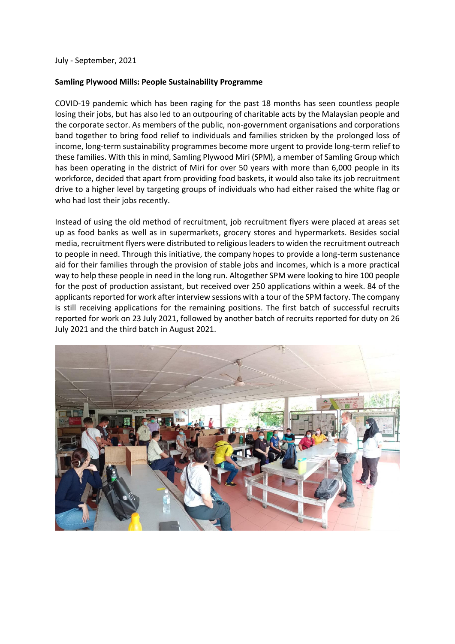July - September, 2021

## **Samling Plywood Mills: People Sustainability Programme**

COVID-19 pandemic which has been raging for the past 18 months has seen countless people losing their jobs, but has also led to an outpouring of charitable acts by the Malaysian people and the corporate sector. As members of the public, non-government organisations and corporations band together to bring food relief to individuals and families stricken by the prolonged loss of income, long-term sustainability programmes become more urgent to provide long-term relief to these families. With this in mind, Samling Plywood Miri (SPM), a member of Samling Group which has been operating in the district of Miri for over 50 years with more than 6,000 people in its workforce, decided that apart from providing food baskets, it would also take its job recruitment drive to a higher level by targeting groups of individuals who had either raised the white flag or who had lost their jobs recently.

Instead of using the old method of recruitment, job recruitment flyers were placed at areas set up as food banks as well as in supermarkets, grocery stores and hypermarkets. Besides social media, recruitment flyers were distributed to religious leaders to widen the recruitment outreach to people in need. Through this initiative, the company hopes to provide a long-term sustenance aid for their families through the provision of stable jobs and incomes, which is a more practical way to help these people in need in the long run. Altogether SPM were looking to hire 100 people for the post of production assistant, but received over 250 applications within a week. 84 of the applicants reported for work after interview sessions with a tour of the SPM factory. The company is still receiving applications for the remaining positions. The first batch of successful recruits reported for work on 23 July 2021, followed by another batch of recruits reported for duty on 26 July 2021 and the third batch in August 2021.